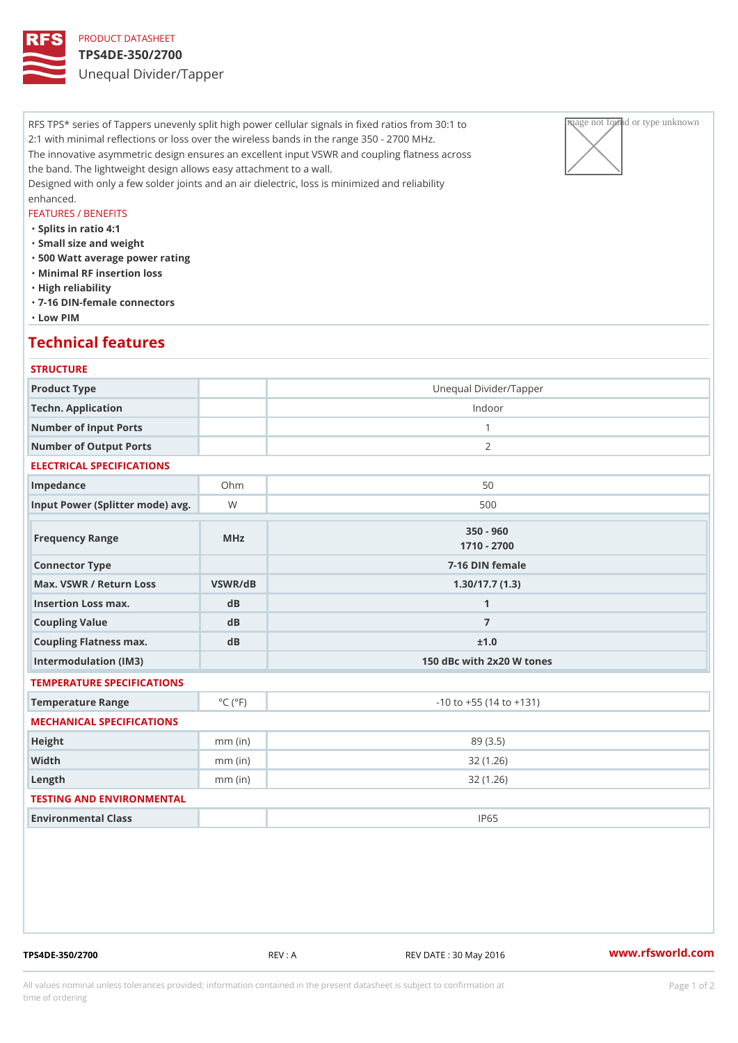### PRODUCT DATASHEET TPS4DE-350/2700 Unequal Divider/Tapper

RFS TPS\* series of Tappers unevenly split high power cellular signals in fixeage pathaged privar unknown to 2:1 with minimal reflections or loss over the wireless bands in the range  $35|0 \searrow 2700$  MHz. The innovative asymmetric design ensures an excellent input VSWR and coupling flatness across the band. The lightweight design allows easy attachment to a wall. Designed with only a few solder joints and an air dielectric, loss is minimized and reliability enhanced.

### FEATURES / BENEFITS

"Splits in ratio 4:1

- "Small size and weight
- "500 Watt average power rating
- "Minimal RF insertion loss
- "High reliability
- "7-16 DIN-female connectors
- "Low PIM

### Technical features

# **STRUCTURE** Product Type Unequal Divider/Tapper Techn. Application **Indoor** Number of Input Ports 1 Number of Output Ports 2 ELECTRICAL SPECIFICATIONS Impedance **Ohm** Ohm 50 Input Power (Splitter mode) Wavg. National methods of the state of the state of the state of the state of the state of the state of the state of the state of the state of the state of the state of the state of the state of Frequency Range MHz 350 - 960 1710 - 2700 Connector Type  $\overline{7-16}$  DIN female Max. VSWR / Return LossVSWR/dB 1.30/17.7 (1.3) Insertion Loss max. dB 1 Coupling Value dB dB 7 Coupling Flatness max. dB  $\pm 1.0$ Intermodulation (IM3) 150 dBc with 2x20 W tones TEMPERATURE SPECIFICATIONS Temperature Range  $\begin{array}{c} \circ \text{C} \\ \circ \text{C} \end{array}$   $\begin{array}{c} \circ \text{F} \\ \circ \text{F} \end{array}$   $\begin{array}{c} \circ \text{F} \\ \circ \text{F} \end{array}$   $\begin{array}{c} \circ \text{F} \\ \circ \text{F} \end{array}$ MECHANICAL SPECIFICATIONS Height mm (in) mm (in) 89 (3.5) Width mm (in) 32 (1.26) Length mm (in) 32 (1.26) TESTING AND ENVIRONMENTAL Environmental Class IP65

TPS4DE-350/2700 REV : A REV DATE : 30 May 2016 [www.](https://www.rfsworld.com)rfsworld.com

All values nominal unless tolerances provided; information contained in the present datasheet is subject to Pcapgeign manation time of ordering